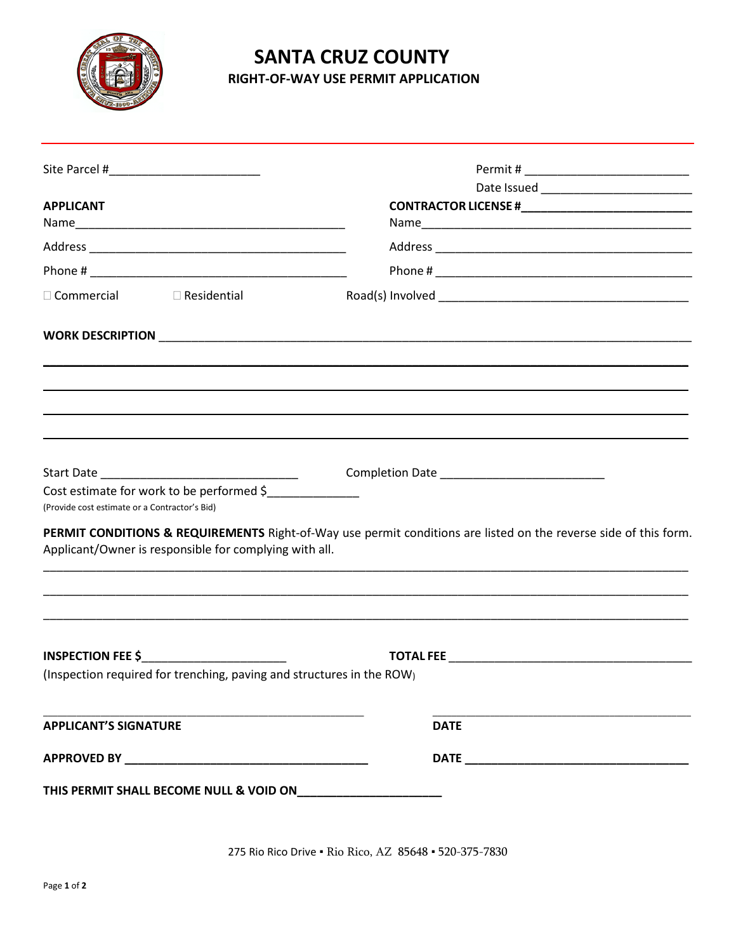

# **SANTA CRUZ COUNTY**

RIGHT-OF-WAY USE PERMIT APPLICATION

| <b>APPLICANT</b>                                                                           |                                                                                                                  |
|--------------------------------------------------------------------------------------------|------------------------------------------------------------------------------------------------------------------|
|                                                                                            |                                                                                                                  |
|                                                                                            |                                                                                                                  |
| $\Box$ Commercial $\Box$ Residential                                                       |                                                                                                                  |
|                                                                                            |                                                                                                                  |
|                                                                                            |                                                                                                                  |
| Cost estimate for work to be performed \$<br>(Provide cost estimate or a Contractor's Bid) |                                                                                                                  |
| Applicant/Owner is responsible for complying with all.                                     | PERMIT CONDITIONS & REQUIREMENTS Right-of-Way use permit conditions are listed on the reverse side of this form. |
| (Inspection required for trenching, paving and structures in the ROW)                      |                                                                                                                  |
| <b>APPLICANT'S SIGNATURE</b>                                                               | <b>DATE</b>                                                                                                      |
|                                                                                            |                                                                                                                  |
|                                                                                            |                                                                                                                  |

275 Rio Rico Drive . Rio Rico, AZ 85648 . 520-375-7830